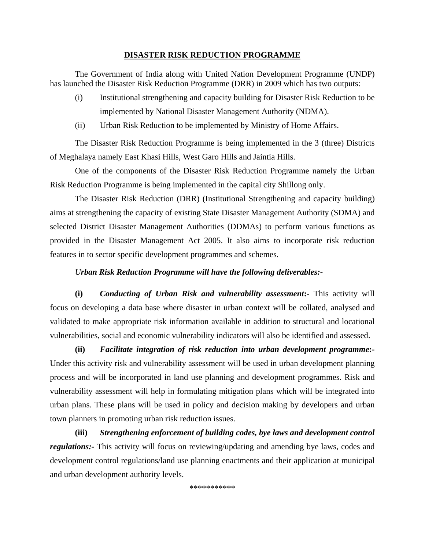## **DISASTER RISK REDUCTION PROGRAMME**

The Government of India along with United Nation Development Programme (UNDP) has launched the Disaster Risk Reduction Programme (DRR) in 2009 which has two outputs:

- (i) Institutional strengthening and capacity building for Disaster Risk Reduction to be implemented by National Disaster Management Authority (NDMA).
- (ii) Urban Risk Reduction to be implemented by Ministry of Home Affairs.

The Disaster Risk Reduction Programme is being implemented in the 3 (three) Districts of Meghalaya namely East Khasi Hills, West Garo Hills and Jaintia Hills.

One of the components of the Disaster Risk Reduction Programme namely the Urban Risk Reduction Programme is being implemented in the capital city Shillong only.

The Disaster Risk Reduction (DRR) (Institutional Strengthening and capacity building) aims at strengthening the capacity of existing State Disaster Management Authority (SDMA) and selected District Disaster Management Authorities (DDMAs) to perform various functions as provided in the Disaster Management Act 2005. It also aims to incorporate risk reduction features in to sector specific development programmes and schemes.

## *Urban Risk Reduction Programme will have the following deliverables:-*

**(i)** *Conducting of Urban Risk and vulnerability assessment***:-** This activity will focus on developing a data base where disaster in urban context will be collated, analysed and validated to make appropriate risk information available in addition to structural and locational vulnerabilities, social and economic vulnerability indicators will also be identified and assessed.

**(ii)** *Facilitate integration of risk reduction into urban development programme***:-** Under this activity risk and vulnerability assessment will be used in urban development planning process and will be incorporated in land use planning and development programmes. Risk and vulnerability assessment will help in formulating mitigation plans which will be integrated into urban plans. These plans will be used in policy and decision making by developers and urban town planners in promoting urban risk reduction issues.

**(iii)** *Strengthening enforcement of building codes, bye laws and development control regulations:-* This activity will focus on reviewing/updating and amending bye laws, codes and development control regulations/land use planning enactments and their application at municipal and urban development authority levels.

\*\*\*\*\*\*\*\*\*\*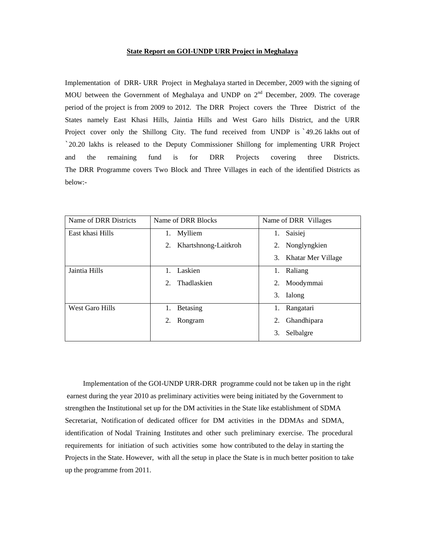## **State Report on GOI-UNDP URR Project in Meghalaya**

Implementation of DRR- URR Project in Meghalaya started in December, 2009 with the signing of MOU between the Government of Meghalaya and UNDP on  $2<sup>nd</sup>$  December, 2009. The coverage period of the project is from 2009 to 2012. The DRR Project covers the Three District of the States namely East Khasi Hills, Jaintia Hills and West Garo hills District, and the URR Project cover only the Shillong City. The fund received from UNDP is `49.26 lakhs out of `20.20 lakhs is released to the Deputy Commissioner Shillong for implementing URR Project and the remaining fund is for DRR Projects covering three Districts. The DRR Programme covers Two Block and Three Villages in each of the identified Districts as below:-

| Name of DRR Districts | Name of DRR Blocks         | Name of DRR Villages  |
|-----------------------|----------------------------|-----------------------|
| East khasi Hills      | Mylliem<br>1.              | Saisiej<br>1.         |
|                       | Khartshnong-Laitkroh<br>2. | Nonglyngkien<br>2.    |
|                       |                            | 3. Khatar Mer Village |
| Jaintia Hills         | Laskien                    | Raliang<br>1.         |
|                       | Thadlaskien<br>2.          | Moodymmai<br>2.       |
|                       |                            | 3.<br>Ialong          |
| West Garo Hills       | <b>Betasing</b><br>1.      | Rangatari<br>1.       |
|                       | 2.<br>Rongram              | Ghandhipara<br>2.     |
|                       |                            | Selbalgre<br>3.       |

 Implementation of the GOI-UNDP URR-DRR programme could not be taken up in the right earnest during the year 2010 as preliminary activities were being initiated by the Government to strengthen the Institutional set up for the DM activities in the State like establishment of SDMA Secretariat, Notification of dedicated officer for DM activities in the DDMAs and SDMA, identification of Nodal Training Institutes and other such preliminary exercise. The procedural requirements for initiation of such activities some how contributed to the delay in starting the Projects in the State. However, with all the setup in place the State is in much better position to take up the programme from 2011.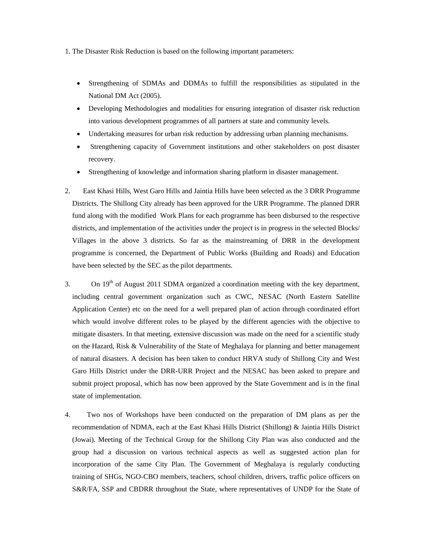1. The Disaster Risk Reduction is based on the following important parameters:

- Strengthening of SDMAs and DDMAs to fulfill the responsibilities as stipulated in the National DM Act (2005).
- Developing Methodologies and modalities for ensuring integration of disaster risk reduction into various development programmes of all partners at state and community levels.
- Undertaking measures for urban risk reduction by addressing urban planning mechanisms.
- Strengthening capacity of Government institutions and other stakeholders on post disaster recovery.
- Strengthening of knowledge and information sharing platform in disaster management.
- 2. East Khasi Hills, West Garo Hills and Jaintia Hills have been selected as the 3 DRR Programme Districts. The Shillong City already has been approved for the URR Programme. The planned DRR fund along with the modified Work Plans for each programme has been disbursed to the respective districts, and implementation of the activities under the project is in progress in the selected Blocks/ Villages in the above 3 districts. So far as the mainstreaming of DRR in the development programme is concerned, the Department of Public Works (Building and Roads) and Education have been selected by the SEC as the pilot departments.
- 3. On  $19<sup>th</sup>$  of August 2011 SDMA organized a coordination meeting with the key department, including central government organization such as CWC, NESAC (North Eastern Satellite Application Center) etc on the need for a well prepared plan of action through coordinated effort which would involve different roles to be played by the different agencies with the objective to mitigate disasters. In that meeting, extensive discussion was made on the need for a scientific study on the Hazard, Risk & Vulnerability of the State of Meghalaya for planning and better management of natural disasters. A decision has been taken to conduct HRVA study of Shillong City and West Garo Hills District under the DRR-URR Project and the NESAC has been asked to prepare and submit project proposal, which has now been approved by the State Government and is in the final state of implementation.
- 4. Two nos of Workshops have been conducted on the preparation of DM plans as per the recommendation of NDMA, each at the East Khasi Hills District (Shillong) & Jaintia Hills District (Jowai). Meeting of the Technical Group for the Shillong City Plan was also conducted and the group had a discussion on various technical aspects as well as suggested action plan for incorporation of the same City Plan. The Government of Meghalaya is regularly conducting training of SHGs, NGO-CBO members, teachers, school children, drivers, traffic police officers on S&R/FA, SSP and CBDRR throughout the State, where representatives of UNDP for the State of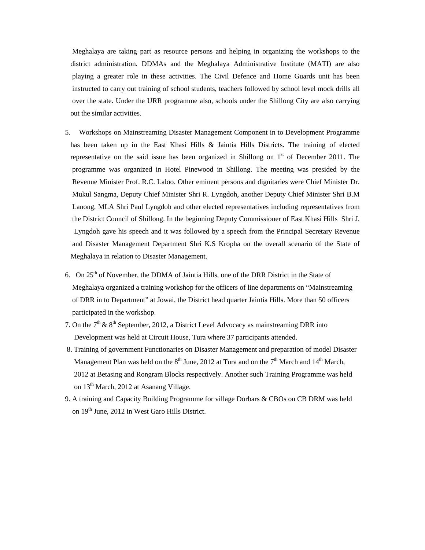Meghalaya are taking part as resource persons and helping in organizing the workshops to the district administration. DDMAs and the Meghalaya Administrative Institute (MATI) are also playing a greater role in these activities. The Civil Defence and Home Guards unit has been instructed to carry out training of school students, teachers followed by school level mock drills all over the state. Under the URR programme also, schools under the Shillong City are also carrying out the similar activities.

- 5. Workshops on Mainstreaming Disaster Management Component in to Development Programme has been taken up in the East Khasi Hills & Jaintia Hills Districts. The training of elected representative on the said issue has been organized in Shillong on  $1<sup>st</sup>$  of December 2011. The programme was organized in Hotel Pinewood in Shillong. The meeting was presided by the Revenue Minister Prof. R.C. Laloo. Other eminent persons and dignitaries were Chief Minister Dr. Mukul Sangma, Deputy Chief Minister Shri R. Lyngdoh, another Deputy Chief Minister Shri B.M Lanong, MLA Shri Paul Lyngdoh and other elected representatives including representatives from the District Council of Shillong. In the beginning Deputy Commissioner of East Khasi Hills Shri J. Lyngdoh gave his speech and it was followed by a speech from the Principal Secretary Revenue and Disaster Management Department Shri K.S Kropha on the overall scenario of the State of Meghalaya in relation to Disaster Management.
- 6. On  $25<sup>th</sup>$  of November, the DDMA of Jaintia Hills, one of the DRR District in the State of Meghalaya organized a training workshop for the officers of line departments on "Mainstreaming of DRR in to Department" at Jowai, the District head quarter Jaintia Hills. More than 50 officers participated in the workshop.
- 7. On the  $7<sup>th</sup>$  &  $8<sup>th</sup>$  September, 2012, a District Level Advocacy as mainstreaming DRR into Development was held at Circuit House, Tura where 37 participants attended.
- 8. Training of government Functionaries on Disaster Management and preparation of model Disaster Management Plan was held on the  $8<sup>th</sup>$  June, 2012 at Tura and on the  $7<sup>th</sup>$  March and  $14<sup>th</sup>$  March, 2012 at Betasing and Rongram Blocks respectively. Another such Training Programme was held on 13th March, 2012 at Asanang Village.
- 9. A training and Capacity Building Programme for village Dorbars & CBOs on CB DRM was held on 19<sup>th</sup> June, 2012 in West Garo Hills District.